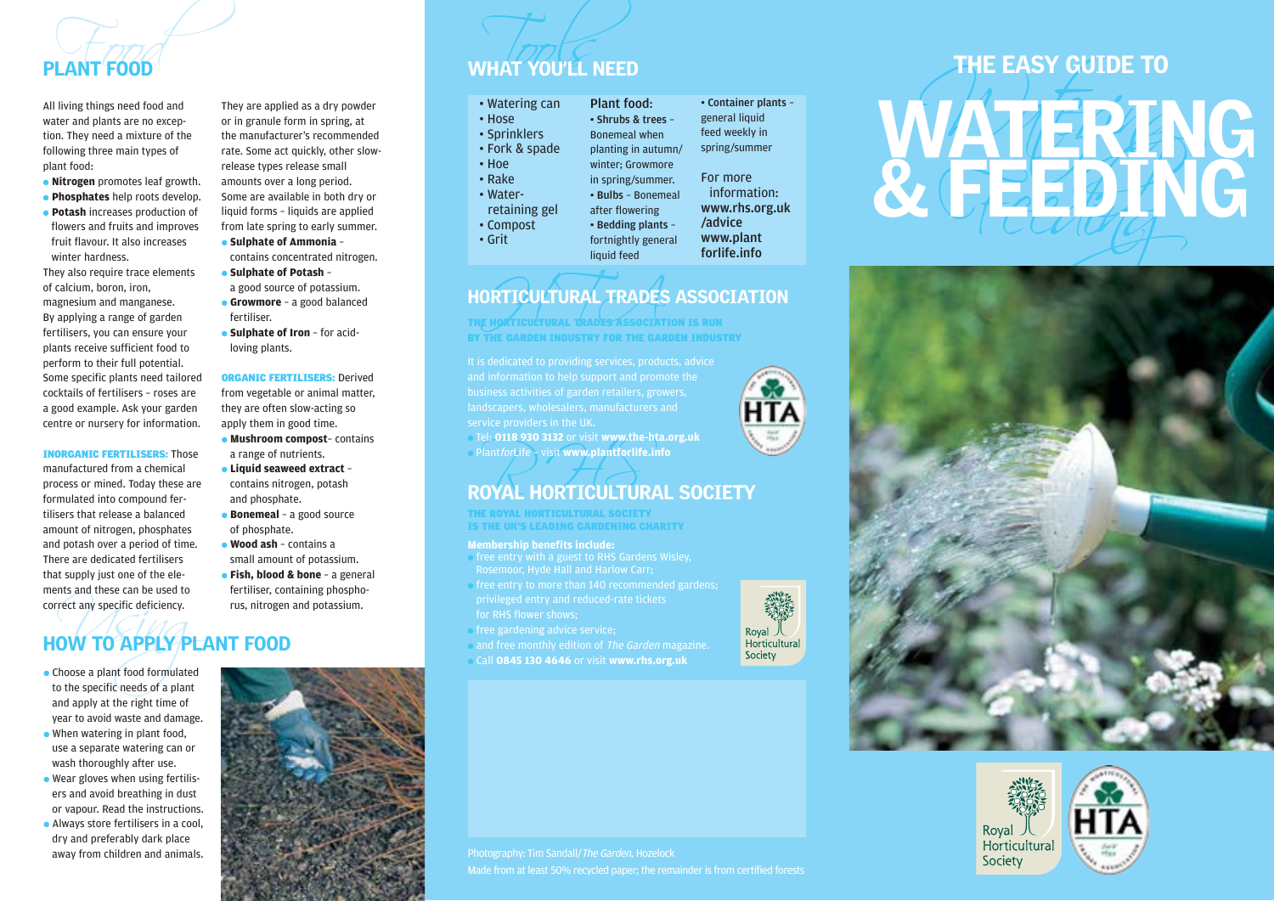

- 
- 

fertilisers, you can ensure your plants receive sufficient food to perform to their full potential. Some specific plants need tailored cocktails of fertilisers – roses are a good example. Ask your garden centre or nursery for information.

#### INORGANIC FERTILISERS: Those

manufactured from a chemical process or mined. Today these are formulated into compound fertilisers that release a balanced amount of nitrogen, phosphates and potash over a period of time. There are dedicated fertilisers that supply just one of the elements and these can be used to correct any specific deficiency.

They are applied as a dry powder or in granule form in spring, at the manufacturer's recommended rate. Some act quickly, other slowrelease types release small amounts over a long period. Some are available in both dry or liquid forms – liquids are applied from late spring to early summer.

- **Sulphate of Ammonia**  contains concentrated nitrogen.
- **Sulphate of Potash**  a good source of potassium.
- **Growmore**  a good balanced fertiliser.
- **Sulphate of Iron**  for acidloving plants.

ORGANIC FERTILISERS: Derived from vegetable or animal matter, they are often slow-acting so apply them in good time. ● **Mushroom compost**– contains a range of nutrients. ● **Liquid seaweed extract** –

- contains nitrogen, potash and phosphate.
- **Bonemeal**  a good source of phosphate.
- **Wood ash**  contains a small amount of potassium.
- **Fish, blood & bone**  a general fertiliser, containing phosphorus, nitrogen and potassium.

## The many specific deficiency.<br>
The Many Specific deficiency.<br>
Noose a plant food formulated by the specific needs of a plant HOW TO APPLY PLANT FOOD

- Choose a plant food formulated to the specific needs of a plant and apply at the right time of year to avoid waste and damage.
- When watering in plant food, use a separate watering can or wash thoroughly after use.
- Wear gloves when using fertilisers and avoid breathing in dust or vapour. Read the instructions.
- Always store fertilisers in a cool, dry and preferably dark place away from children and animals.



#### **PLANT FOOD** WHAT YOU'LL NEED

| • Watering can |
|----------------|
| • Hose         |
| · Sprinklers   |
| • Fork & spade |
| $\cdot$ Hoe    |
| $\cdot$ Rake   |
| • Water-       |
| retaining gel  |
| • Compost      |
| • Grit         |

#### ORTICULTURAL TRADES HORTICULTURAL TRADES ASSOCIATION

TICULTURAL TRADES ASSOCIATION IS RUN BY THE GARDEN INDUSTRY FOR THE GARDEN INDUSTRY

and information to help support and promote the

● Tel: **0118 930 3132** or visit **www.the-hta.org.uk** ● PlantforLife – visit **www.plantforlife.info**

# Plant*for*Life Sau Sisz of Visit www.the-hta.org.uk<br>Plant*forLife* Svisit www.plantforlife.info<br>ROYAL HORTICULTURAL SOCIETY

THE ROYAL HORTICULTURAL SOCIETY IS THE UK'S LEADING GARDENING CHARITY

#### **Membership benefits include:**

- free entry with a guest to RHS Gardens Wisley, Rosemoor, Hyde Hall and Harlow Carr;
- free entry to more than 140 recommended gardens; for RHS flower shows;
- free gardening advice service;
- and free monthly edition of The Garden magazine.
- Call **0845 130 4646** or visit **www.rhs.org.uk**



# **PLANT FOOD**<br>
All living things need ond and<br>
value are no except the manufacturer's recommended<br>
ton, they are all ant some of the manufacturer's recommended<br>
and too there are a new the manufacturer's recommended<br>
plant





#### Photography: Tim Sandall/The Garden, Hozelock